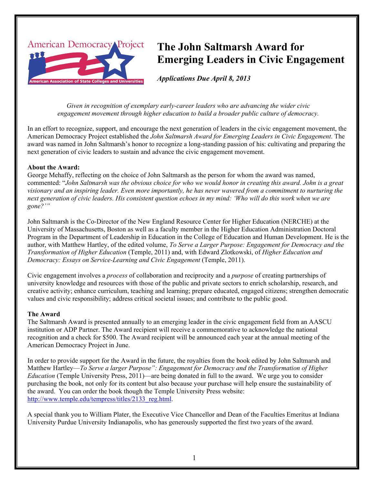

# **The John Saltmarsh Award for Emerging Leaders in Civic Engagement**

*Applications Due April 8, 2013*

*Given in recognition of exemplary early-career leaders who are advancing the wider civic engagement movement through higher education to build a broader public culture of democracy.*

In an effort to recognize, support, and encourage the next generation of leaders in the civic engagement movement, the American Democracy Project established the *John Saltmarsh Award for Emerging Leaders in Civic Engagement*. The award was named in John Saltmarsh's honor to recognize a long-standing passion of his: cultivating and preparing the next generation of civic leaders to sustain and advance the civic engagement movement.

### **About the Award:**

George Mehaffy, reflecting on the choice of John Saltmarsh as the person for whom the award was named, commented: "*John Saltmarsh was the obvious choice for who we would honor in creating this award. John is a great visionary and an inspiring leader. Even more importantly, he has never wavered from a commitment to nurturing the next generation of civic leaders. His consistent question echoes in my mind: 'Who will do this work when we are gone?'"*

John Saltmarsh is the Co-Director of the New England Resource Center for Higher Education (NERCHE) at the University of Massachusetts, Boston as well as a faculty member in the Higher Education Administration Doctoral Program in the Department of Leadership in Education in the College of Education and Human Development. He is the author, with Matthew Hartley, of the edited volume, *To Serve a Larger Purpose: Engagement for Democracy and the Transformation of Higher Education* (Temple, 2011) and, with Edward Zlotkowski, of *Higher Education and Democracy: Essays on Service-Learning and Civic Engagement* (Temple, 2011).

Civic engagement involves a *process* of collaboration and reciprocity and a *purpose* of creating partnerships of university knowledge and resources with those of the public and private sectors to enrich scholarship, research, and creative activity; enhance curriculum, teaching and learning; prepare educated, engaged citizens; strengthen democratic values and civic responsibility; address critical societal issues; and contribute to the public good.

# **The Award**

The Saltmarsh Award is presented annually to an emerging leader in the civic engagement field from an AASCU institution or ADP Partner. The Award recipient will receive a commemorative to acknowledge the national recognition and a check for \$500. The Award recipient will be announced each year at the annual meeting of the American Democracy Project in June.

In order to provide support for the Award in the future, the royalties from the book edited by John Saltmarsh and Matthew Hartley—*To Serve a larger Purpose": Engagement for Democracy and the Transformation of Higher Education* (Temple University Press, 2011)—are being donated in full to the award. We urge you to consider purchasing the book, not only for its content but also because your purchase will help ensure the sustainability of the award. You can order the book though the Temple University Press website: http://www.temple.edu/tempress/titles/2133\_reg.html.

A special thank you to William Plater, the Executive Vice Chancellor and Dean of the Faculties Emeritus at Indiana University Purdue University Indianapolis, who has generously supported the first two years of the award.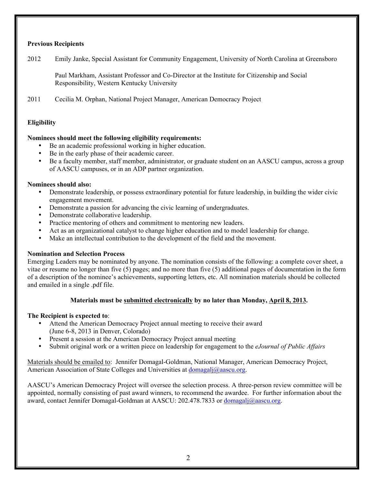# **Previous Recipients**

2012 Emily Janke, Special Assistant for Community Engagement, University of North Carolina at Greensboro

Paul Markham, Assistant Professor and Co-Director at the Institute for Citizenship and Social Responsibility, Western Kentucky University

2011 Cecilia M. Orphan, National Project Manager, American Democracy Project

# **Eligibility**

#### **Nominees should meet the following eligibility requirements:**

- Be an academic professional working in higher education.
- Be in the early phase of their academic career.
- Be a faculty member, staff member, administrator, or graduate student on an AASCU campus, across a group of AASCU campuses, or in an ADP partner organization.

#### **Nominees should also:**

- Demonstrate leadership, or possess extraordinary potential for future leadership, in building the wider civic engagement movement.
- Demonstrate a passion for advancing the civic learning of undergraduates.
- Demonstrate collaborative leadership.
- Practice mentoring of others and commitment to mentoring new leaders.
- Act as an organizational catalyst to change higher education and to model leadership for change.
- Make an intellectual contribution to the development of the field and the movement.

#### **Nomination and Selection Process**

Emerging Leaders may be nominated by anyone. The nomination consists of the following: a complete cover sheet, a vitae or resume no longer than five (5) pages; and no more than five (5) additional pages of documentation in the form of a description of the nominee's achievements, supporting letters, etc. All nomination materials should be collected and emailed in a single .pdf file.

#### **Materials must be submitted electronically by no later than Monday, April 8, 2013.**

#### **The Recipient is expected to**:

- Attend the American Democracy Project annual meeting to receive their award (June 6-8, 2013 in Denver, Colorado)
- Present a session at the American Democracy Project annual meeting
- Submit original work or a written piece on leadership for engagement to the *eJournal of Public Affairs*

Materials should be emailed to: Jennifer Domagal-Goldman, National Manager, American Democracy Project, American Association of State Colleges and Universities at domagalj@aascu.org.

AASCU's American Democracy Project will oversee the selection process. A three-person review committee will be appointed, normally consisting of past award winners, to recommend the awardee. For further information about the award, contact Jennifer Domagal-Goldman at AASCU: 202.478.7833 or domagalj@aascu.org.